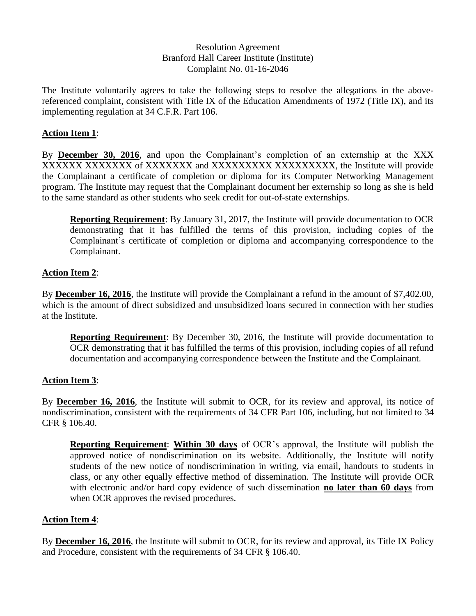### Resolution Agreement Branford Hall Career Institute (Institute) Complaint No. 01-16-2046

The Institute voluntarily agrees to take the following steps to resolve the allegations in the abovereferenced complaint, consistent with Title IX of the Education Amendments of 1972 (Title IX), and its implementing regulation at 34 C.F.R. Part 106.

#### **Action Item 1**:

By **December 30, 2016**, and upon the Complainant's completion of an externship at the XXX XXXXXX XXXXXXX of XXXXXXX and XXXXXXXXX XXXXXXXXX, the Institute will provide the Complainant a certificate of completion or diploma for its Computer Networking Management program. The Institute may request that the Complainant document her externship so long as she is held to the same standard as other students who seek credit for out-of-state externships.

**Reporting Requirement**: By January 31, 2017, the Institute will provide documentation to OCR demonstrating that it has fulfilled the terms of this provision, including copies of the Complainant's certificate of completion or diploma and accompanying correspondence to the Complainant.

### **Action Item 2**:

By **December 16, 2016**, the Institute will provide the Complainant a refund in the amount of \$7,402.00, which is the amount of direct subsidized and unsubsidized loans secured in connection with her studies at the Institute.

**Reporting Requirement**: By December 30, 2016, the Institute will provide documentation to OCR demonstrating that it has fulfilled the terms of this provision, including copies of all refund documentation and accompanying correspondence between the Institute and the Complainant.

### **Action Item 3**:

By **December 16, 2016**, the Institute will submit to OCR, for its review and approval, its notice of nondiscrimination, consistent with the requirements of 34 CFR Part 106, including, but not limited to 34 CFR § 106.40.

**Reporting Requirement**: **Within 30 days** of OCR's approval, the Institute will publish the approved notice of nondiscrimination on its website. Additionally, the Institute will notify students of the new notice of nondiscrimination in writing, via email, handouts to students in class, or any other equally effective method of dissemination. The Institute will provide OCR with electronic and/or hard copy evidence of such dissemination **no later than 60 days** from when OCR approves the revised procedures.

### **Action Item 4**:

By **December 16, 2016**, the Institute will submit to OCR, for its review and approval, its Title IX Policy and Procedure, consistent with the requirements of 34 CFR § 106.40.